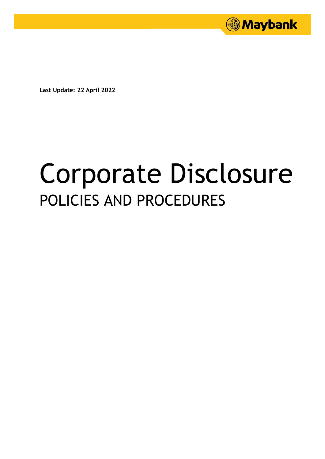

**Last Update: 22 April 2022**

# Corporate Disclosure POLICIES AND PROCEDURES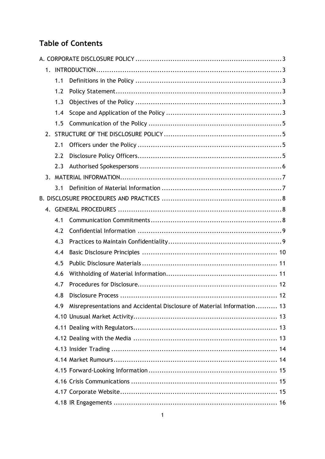# **Table of Contents**

|    | 1.1 |                                                                         |  |  |
|----|-----|-------------------------------------------------------------------------|--|--|
|    | 1.2 |                                                                         |  |  |
|    | 1.3 |                                                                         |  |  |
|    | 1.4 |                                                                         |  |  |
|    | 1.5 |                                                                         |  |  |
| 2. |     |                                                                         |  |  |
|    | 2.1 |                                                                         |  |  |
|    | 2.2 |                                                                         |  |  |
|    | 2.3 |                                                                         |  |  |
|    |     |                                                                         |  |  |
|    | 3.1 |                                                                         |  |  |
|    |     |                                                                         |  |  |
|    |     |                                                                         |  |  |
|    | 4.1 |                                                                         |  |  |
|    | 4.2 |                                                                         |  |  |
|    | 4.3 |                                                                         |  |  |
|    | 4.4 |                                                                         |  |  |
|    | 4.5 |                                                                         |  |  |
|    | 4.6 |                                                                         |  |  |
|    | 4.7 |                                                                         |  |  |
|    | 4.8 |                                                                         |  |  |
|    | 4.9 | Misrepresentations and Accidental Disclosure of Material Information 13 |  |  |
|    |     |                                                                         |  |  |
|    |     |                                                                         |  |  |
|    |     |                                                                         |  |  |
|    |     |                                                                         |  |  |
|    |     |                                                                         |  |  |
|    |     |                                                                         |  |  |
|    |     |                                                                         |  |  |
|    |     |                                                                         |  |  |
|    |     |                                                                         |  |  |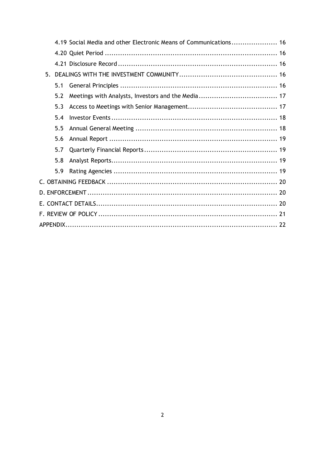|  |     | 4.19 Social Media and other Electronic Means of Communications 16 |  |  |  |
|--|-----|-------------------------------------------------------------------|--|--|--|
|  |     |                                                                   |  |  |  |
|  |     |                                                                   |  |  |  |
|  |     |                                                                   |  |  |  |
|  | 5.1 |                                                                   |  |  |  |
|  | 5.2 |                                                                   |  |  |  |
|  | 5.3 |                                                                   |  |  |  |
|  | 5.4 |                                                                   |  |  |  |
|  | 5.5 |                                                                   |  |  |  |
|  | 5.6 |                                                                   |  |  |  |
|  | 5.7 |                                                                   |  |  |  |
|  | 5.8 |                                                                   |  |  |  |
|  | 5.9 |                                                                   |  |  |  |
|  |     |                                                                   |  |  |  |
|  |     |                                                                   |  |  |  |
|  |     |                                                                   |  |  |  |
|  |     |                                                                   |  |  |  |
|  |     |                                                                   |  |  |  |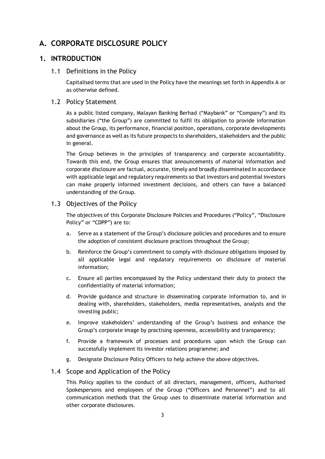## <span id="page-3-0"></span>**A. CORPORATE DISCLOSURE POLICY**

## <span id="page-3-2"></span><span id="page-3-1"></span>**1. INTRODUCTION**

#### 1.1 Definitions in the Policy

Capitalised terms that are used in the Policy have the meanings set forth in Appendix A or as otherwise defined.

#### <span id="page-3-3"></span>1.2 Policy Statement

As a public listed company, Malayan Banking Berhad ("Maybank" or "Company") and its subsidiaries ("the Group") are committed to fulfil its obligation to provide information about the Group, its performance, financial position, operations, corporate developments and governance as well as its future prospects to shareholders, stakeholders and the public in general.

The Group believes in the principles of transparency and corporate accountability. Towards this end, the Group ensures that announcements of material information and corporate disclosure are factual, accurate, timely and broadly disseminated in accordance with applicable legal and regulatory requirements so that investors and potential investors can make properly informed investment decisions, and others can have a balanced understanding of the Group.

## <span id="page-3-4"></span>1.3 Objectives of the Policy

The objectives of this Corporate Disclosure Policies and Procedures ("Policy", "Disclosure Policy" or "CDPP") are to:

- a. Serve as a statement of the Group's disclosure policies and procedures and to ensure the adoption of consistent disclosure practices throughout the Group;
- b. Reinforce the Group's commitment to comply with disclosure obligations imposed by all applicable legal and regulatory requirements on disclosure of material information;
- c. Ensure all parties encompassed by the Policy understand their duty to protect the confidentiality of material information;
- d. Provide guidance and structure in disseminating corporate information to, and in dealing with, shareholders, stakeholders, media representatives, analysts and the investing public;
- e. Improve stakeholders' understanding of the Group's business and enhance the Group's corporate image by practising openness, accessibility and transparency;
- f. Provide a framework of processes and procedures upon which the Group can successfully implement its investor relations programme; and
- g. Designate Disclosure Policy Officers to help achieve the above objectives.

#### <span id="page-3-5"></span>1.4 Scope and Application of the Policy

This Policy applies to the conduct of all directors, management, officers, Authorised Spokespersons and employees of the Group ("Officers and Personnel") and to all communication methods that the Group uses to disseminate material information and other corporate disclosures.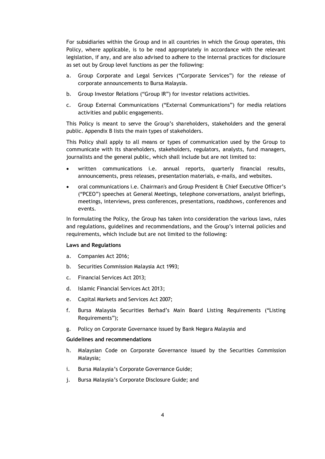For subsidiaries within the Group and in all countries in which the Group operates, this Policy, where applicable, is to be read appropriately in accordance with the relevant legislation, if any, and are also advised to adhere to the internal practices for disclosure as set out by Group level functions as per the following:

- a. Group Corporate and Legal Services ("Corporate Services") for the release of corporate announcements to Bursa Malaysia.
- b. Group Investor Relations ("Group IR") for investor relations activities.
- c. Group External Communications ("External Communications") for media relations activities and public engagements.

This Policy is meant to serve the Group's shareholders, stakeholders and the general public. Appendix B lists the main types of stakeholders.

This Policy shall apply to all means or types of communication used by the Group to communicate with its shareholders, stakeholders, regulators, analysts, fund managers, journalists and the general public, which shall include but are not limited to:

- written communications i.e. annual reports, quarterly financial results, announcements, press releases, presentation materials, e-mails, and websites.
- oral communications i.e. Chairman's and Group President & Chief Executive Officer's ("PCEO") speeches at General Meetings, telephone conversations, analyst briefings, meetings, interviews, press conferences, presentations, roadshows, conferences and events.

In formulating the Policy, the Group has taken into consideration the various laws, rules and regulations, guidelines and recommendations, and the Group's internal policies and requirements, which include but are not limited to the following:

#### **Laws and Regulations**

- a. Companies Act 2016;
- b. Securities Commission Malaysia Act 1993;
- c. Financial Services Act 2013;
- d. Islamic Financial Services Act 2013;
- e. Capital Markets and Services Act 2007;
- f. Bursa Malaysia Securities Berhad's Main Board Listing Requirements ("Listing Requirements");
- g. Policy on Corporate Governance issued by Bank Negara Malaysia and

#### **Guidelines and recommendations**

- h. Malaysian Code on Corporate Governance issued by the Securities Commission Malaysia;
- i. Bursa Malaysia's Corporate Governance Guide;
- j. Bursa Malaysia's Corporate Disclosure Guide; and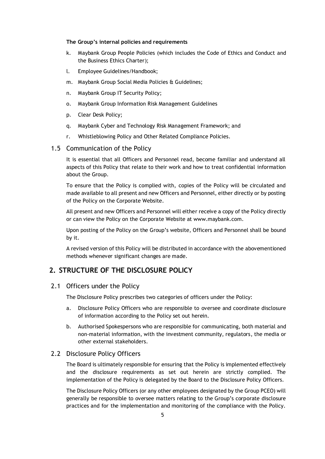#### **The Group's internal policies and requirements**

- k. Maybank Group People Policies (which includes the Code of Ethics and Conduct and the Business Ethics Charter);
- l. Employee Guidelines/Handbook;
- m. Maybank Group Social Media Policies & Guidelines;
- n. Maybank Group IT Security Policy;
- o. Maybank Group Information Risk Management Guidelines
- p. Clear Desk Policy;
- q. Maybank Cyber and Technology Risk Management Framework; and
- r. Whistleblowing Policy and Other Related Compliance Policies.

#### <span id="page-5-0"></span>1.5 Communication of the Policy

It is essential that all Officers and Personnel read, become familiar and understand all aspects of this Policy that relate to their work and how to treat confidential information about the Group.

To ensure that the Policy is complied with, copies of the Policy will be circulated and made available to all present and new Officers and Personnel, either directly or by posting of the Policy on the Corporate Website.

All present and new Officers and Personnel will either receive a copy of the Policy directly or can view the Policy on the Corporate Website at www.maybank.com.

Upon posting of the Policy on the Group's website, Officers and Personnel shall be bound by it.

A revised version of this Policy will be distributed in accordance with the abovementioned methods whenever significant changes are made.

## <span id="page-5-1"></span>**2. STRUCTURE OF THE DISCLOSURE POLICY**

#### <span id="page-5-2"></span>2.1 Officers under the Policy

The Disclosure Policy prescribes two categories of officers under the Policy:

- a. Disclosure Policy Officers who are responsible to oversee and coordinate disclosure of information according to the Policy set out herein.
- b. Authorised Spokespersons who are responsible for communicating, both material and non-material information, with the investment community, regulators, the media or other external stakeholders.

#### <span id="page-5-3"></span>2.2 Disclosure Policy Officers

The Board is ultimately responsible for ensuring that the Policy is implemented effectively and the disclosure requirements as set out herein are strictly complied. The implementation of the Policy is delegated by the Board to the Disclosure Policy Officers.

The Disclosure Policy Officers (or any other employees designated by the Group PCEO) will generally be responsible to oversee matters relating to the Group's corporate disclosure practices and for the implementation and monitoring of the compliance with the Policy.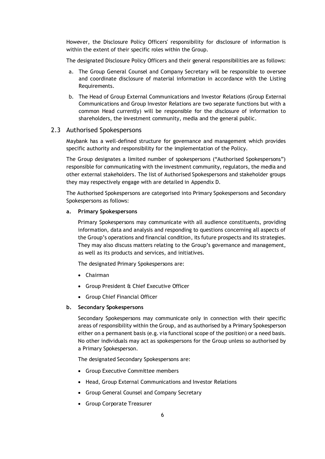However, the Disclosure Policy Officers' responsibility for disclosure of information is within the extent of their specific roles within the Group.

The designated Disclosure Policy Officers and their general responsibilities are as follows:

- a. The Group General Counsel and Company Secretary will be responsible to oversee and coordinate disclosure of material information in accordance with the Listing Requirements.
- b. The Head of Group External Communications and Investor Relations (Group External Communications and Group Investor Relations are two separate functions but with a common Head currently) will be responsible for the disclosure of information to shareholders, the investment community, media and the general public.

#### <span id="page-6-0"></span>2.3 Authorised Spokespersons

Maybank has a well-defined structure for governance and management which provides specific authority and responsibility for the implementation of the Policy.

The Group designates a limited number of spokespersons ("Authorised Spokespersons") responsible for communicating with the investment community, regulators, the media and other external stakeholders. The list of Authorised Spokespersons and stakeholder groups they may respectively engage with are detailed in Appendix D.

The Authorised Spokespersons are categorised into Primary Spokespersons and Secondary Spokespersons as follows:

#### **a. Primary Spokespersons**

Primary Spokespersons may communicate with all audience constituents, providing information, data and analysis and responding to questions concerning all aspects of the Group's operations and financial condition, its future prospects and its strategies. They may also discuss matters relating to the Group's governance and management, as well as its products and services, and initiatives.

The designated Primary Spokespersons are:

- Chairman
- Group President & Chief Executive Officer
- Group Chief Financial Officer

#### **b. Secondary Spokespersons**

Secondary Spokespersons may communicate only in connection with their specific areas of responsibility within the Group, and as authorised by a Primary Spokesperson either on a permanent basis (e.g. via functional scope of the position) or a need basis. No other individuals may act as spokespersons for the Group unless so authorised by a Primary Spokesperson.

The designated Secondary Spokespersons are:

- Group Executive Committee members
- Head, Group External Communications and Investor Relations
- Group General Counsel and Company Secretary
- Group Corporate Treasurer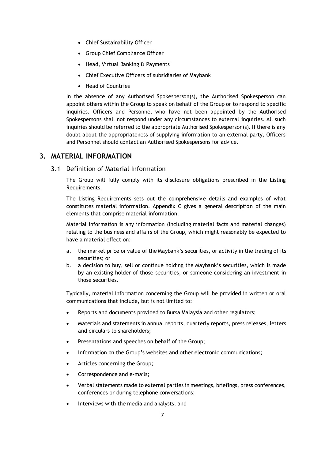- Chief Sustainability Officer
- Group Chief Compliance Officer
- Head, Virtual Banking & Payments
- Chief Executive Officers of subsidiaries of Maybank
- Head of Countries

In the absence of any Authorised Spokesperson(s), the Authorised Spokesperson can appoint others within the Group to speak on behalf of the Group or to respond to specific inquiries. Officers and Personnel who have not been appointed by the Authorised Spokespersons shall not respond under any circumstances to external inquiries. All such inquiries should be referred to the appropriate Authorised Spokesperson(s). If there is any doubt about the appropriateness of supplying information to an external party, Officers and Personnel should contact an Authorised Spokespersons for advice.

#### <span id="page-7-1"></span><span id="page-7-0"></span>**3. MATERIAL INFORMATION**

#### 3.1 Definition of Material Information

The Group will fully comply with its disclosure obligations prescribed in the Listing Requirements.

The Listing Requirements sets out the comprehensive details and examples of what constitutes material information. Appendix C gives a general description of the main elements that comprise material information.

Material information is any information (including material facts and material changes) relating to the business and affairs of the Group, which might reasonably be expected to have a material effect on:

- a. the market price or value of the Maybank's securities, or activity in the trading of its securities; or
- b. a decision to buy, sell or continue holding the Maybank's securities, which is made by an existing holder of those securities, or someone considering an investment in those securities.

Typically, material information concerning the Group will be provided in written or oral communications that include, but is not limited to:

- Reports and documents provided to Bursa Malaysia and other regulators;
- Materials and statements in annual reports, quarterly reports, press releases, letters and circulars to shareholders;
- Presentations and speeches on behalf of the Group;
- Information on the Group's websites and other electronic communications;
- Articles concerning the Group;
- Correspondence and e-mails;
- Verbal statements made to external parties in meetings, briefings, press conferences, conferences or during telephone conversations;
- Interviews with the media and analysts; and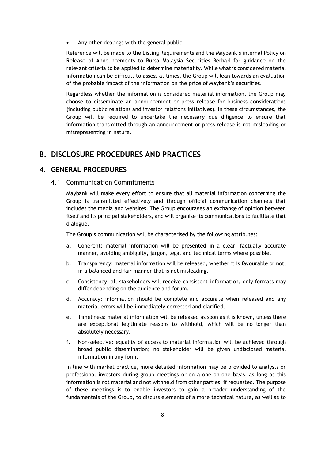Any other dealings with the general public.

Reference will be made to the Listing Requirements and the Maybank's internal Policy on Release of Announcements to Bursa Malaysia Securities Berhad for guidance on the relevant criteria to be applied to determine materiality. While what is considered material information can be difficult to assess at times, the Group will lean towards an evaluation of the probable impact of the information on the price of Maybank's securities.

Regardless whether the information is considered material information, the Group may choose to disseminate an announcement or press release for business considerations (including public relations and investor relations initiatives). In these circumstances, the Group will be required to undertake the necessary due diligence to ensure that information transmitted through an announcement or press release is not misleading or misrepresenting in nature.

## <span id="page-8-0"></span>**B. DISCLOSURE PROCEDURES AND PRACTICES**

#### <span id="page-8-2"></span><span id="page-8-1"></span>**4. GENERAL PROCEDURES**

4.1 Communication Commitments

Maybank will make every effort to ensure that all material information concerning the Group is transmitted effectively and through official communication channels that includes the media and websites. The Group encourages an exchange of opinion between itself and its principal stakeholders, and will organise its communications to facilitate that dialogue.

The Group's communication will be characterised by the following attributes:

- a. Coherent: material information will be presented in a clear, factually accurate manner, avoiding ambiguity, jargon, legal and technical terms where possible.
- b. Transparency: material information will be released, whether it is favourable or not, in a balanced and fair manner that is not misleading.
- c. Consistency: all stakeholders will receive consistent information, only formats may differ depending on the audience and forum.
- d. Accuracy: information should be complete and accurate when released and any material errors will be immediately corrected and clarified.
- e. Timeliness: material information will be released as soon as it is known, unless there are exceptional legitimate reasons to withhold, which will be no longer than absolutely necessary.
- f. Non-selective: equality of access to material information will be achieved through broad public dissemination; no stakeholder will be given undisclosed material information in any form.

In line with market practice, more detailed information may be provided to analysts or professional investors during group meetings or on a one-on-one basis, as long as this information is not material and not withheld from other parties, if requested. The purpose of these meetings is to enable investors to gain a broader understanding of the fundamentals of the Group, to discuss elements of a more technical nature, as well as to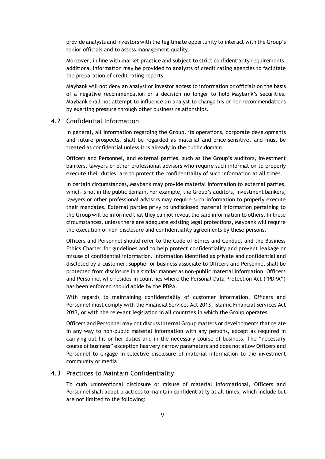provide analysts and investors with the legitimate opportunity to interact with the Group's senior officials and to assess management quality.

Moreover, in line with market practice and subject to strict confidentiality requirements, additional information may be provided to analysts of credit rating agencies to facilitate the preparation of credit rating reports.

Maybank will not deny an analyst or investor access to information or officials on the basis of a negative recommendation or a decision no longer to hold Maybank's securities. Maybank shall not attempt to influence an analyst to change his or her recommendations by exerting pressure through other business relationships.

#### <span id="page-9-0"></span>4.2 Confidential Information

In general, all information regarding the Group, its operations, corporate developments and future prospects, shall be regarded as material and price-sensitive, and must be treated as confidential unless it is already in the public domain.

Officers and Personnel, and external parties, such as the Group's auditors, investment bankers, lawyers or other professional advisors who require such information to properly execute their duties, are to protect the confidentiality of such information at all times.

In certain circumstances, Maybank may provide material information to external parties, which is not in the public domain. For example, the Group's auditors, investment bankers, lawyers or other professional advisors may require such information to properly execute their mandates. External parties privy to undisclosed material information pertaining to the Group will be informed that they cannot reveal the said information to others. In these circumstances, unless there are adequate existing legal protections, Maybank will require the execution of non-disclosure and confidentiality agreements by these persons.

Officers and Personnel should refer to the Code of Ethics and Conduct and the Business Ethics Charter for guidelines and to help protect confidentiality and prevent leakage or misuse of confidential information. Information identified as private and confidential and disclosed by a customer, supplier or business associate to Officers and Personnel shall be protected from disclosure in a similar manner as non-public material information. Officers and Personnel who resides in countries where the Personal Data Protection Act ("PDPA") has been enforced should abide by the PDPA.

With regards to maintaining confidentiality of customer information, Officers and Personnel must comply with the Financial Services Act 2013, Islamic Financial Services Act 2013, or with the relevant legislation in all countries in which the Group operates.

Officers and Personnel may not discuss internal Group matters or developments that relate in any way to non-public material information with any persons, except as required in carrying out his or her duties and in the necessary course of business. The "necessary course of business" exception has very narrow parameters and does not allow Officers and Personnel to engage in selective disclosure of material information to the investment community or media.

#### <span id="page-9-1"></span>4.3 Practices to Maintain Confidentiality

To curb unintentional disclosure or misuse of material informational, Officers and Personnel shall adopt practices to maintain confidentiality at all times, which include but are not limited to the following: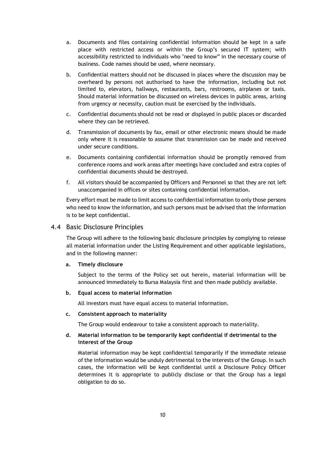- a. Documents and files containing confidential information should be kept in a safe place with restricted access or within the Group's secured IT system; with accessibility restricted to individuals who "need to know" in the necessary course of business. Code names should be used, where necessary.
- b. Confidential matters should not be discussed in places where the discussion may be overheard by persons not authorised to have the information, including but not limited to, elevators, hallways, restaurants, bars, restrooms, airplanes or taxis. Should material information be discussed on wireless devices in public areas, arising from urgency or necessity, caution must be exercised by the individuals.
- c. Confidential documents should not be read or displayed in public places or discarded where they can be retrieved.
- d. Transmission of documents by fax, email or other electronic means should be made only where it is reasonable to assume that transmission can be made and received under secure conditions.
- e. Documents containing confidential information should be promptly removed from conference rooms and work areas after meetings have concluded and extra copies of confidential documents should be destroyed.
- f. All visitors should be accompanied by Officers and Personnel so that they are not left unaccompanied in offices or sites containing confidential information.

Every effort must be made to limit access to confidential information to only those persons who need to know the information, and such persons must be advised that the information is to be kept confidential.

#### <span id="page-10-0"></span>4.4 Basic Disclosure Principles

The Group will adhere to the following basic disclosure principles by complying to release all material information under the Listing Requirement and other applicable legislations, and in the following manner:

#### **a. Timely disclosure**

Subject to the terms of the Policy set out herein, material information will be announced immediately to Bursa Malaysia first and then made publicly available.

#### **b. Equal access to material information**

All investors must have equal access to material information.

#### **c. Consistent approach to materiality**

The Group would endeavour to take a consistent approach to materiality.

#### **d. Material information to be temporarily kept confidential if detrimental to the interest of the Group**

Material information may be kept confidential temporarily if the immediate release of the information would be unduly detrimental to the interests of the Group. In such cases, the information will be kept confidential until a Disclosure Policy Officer determines it is appropriate to publicly disclose or that the Group has a legal obligation to do so.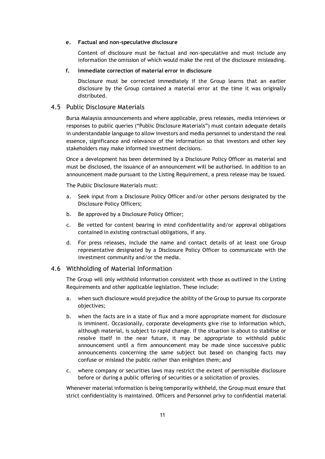#### **e. Factual and non-speculative disclosure**

Content of disclosure must be factual and non-speculative and must include any information the omission of which would make the rest of the disclosure misleading.

#### **f. Immediate correction of material error in disclosure**

Disclosure must be corrected immediately if the Group learns that an earlier disclosure by the Group contained a material error at the time it was originally distributed.

#### <span id="page-11-0"></span>4.5 Public Disclosure Materials

Bursa Malaysia announcements and where applicable, press releases, media interviews or responses to public queries ("Public Disclosure Materials") must contain adequate details in understandable language to allow investors and media personnel to understand the real essence, significance and relevance of the information so that investors and other key stakeholders may make informed investment decisions.

Once a development has been determined by a Disclosure Policy Officer as material and must be disclosed, the issuance of an announcement will be authorised. In addition to an announcement made pursuant to the Listing Requirement, a press release may be issued.

The Public Disclosure Materials must:

- a. Seek input from a Disclosure Policy Officer and/or other persons designated by the Disclosure Policy Officers;
- b. Be approved by a Disclosure Policy Officer;
- c. Be vetted for content bearing in mind confidentiality and/or approval obligations contained in existing contractual obligations, if any.
- d. For press releases, include the name and contact details of at least one Group representative designated by a Disclosure Policy Officer to communicate with the investment community and/or the media.

#### <span id="page-11-1"></span>4.6 Withholding of Material Information

The Group will only withhold information consistent with those as outlined in the Listing Requirements and other applicable legislation. These include:

- a. when such disclosure would prejudice the ability of the Group to pursue its corporate objectives;
- b. when the facts are in a state of flux and a more appropriate moment for disclosure is imminent. Occasionally, corporate developments give rise to information which, although material, is subject to rapid change. If the situation is about to stabilise or resolve itself in the near future, it may be appropriate to withhold public announcement until a firm announcement may be made since successive public announcements concerning the same subject but based on changing facts may confuse or mislead the public rather than enlighten them; and
- c. where company or securities laws may restrict the extent of permissible disclosure before or during a public offering of securities or a solicitation of proxies.

Whenever material information is being temporarily withheld, the Group must ensure that strict confidentiality is maintained. Officers and Personnel privy to confidential material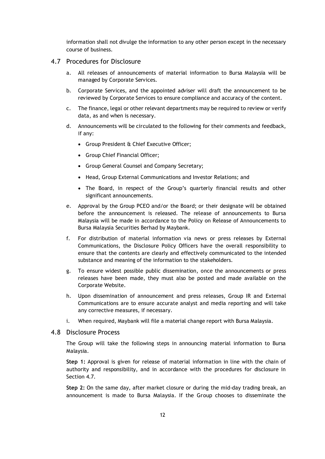information shall not divulge the information to any other person except in the necessary course of business.

#### <span id="page-12-0"></span>4.7 Procedures for Disclosure

- a. All releases of announcements of material information to Bursa Malaysia will be managed by Corporate Services.
- b. Corporate Services, and the appointed adviser will draft the announcement to be reviewed by Corporate Services to ensure compliance and accuracy of the content.
- c. The finance, legal or other relevant departments may be required to review or verify data, as and when is necessary.
- d. Announcements will be circulated to the following for their comments and feedback, if any:
	- Group President & Chief Executive Officer;
	- Group Chief Financial Officer;
	- Group General Counsel and Company Secretary;
	- Head, Group External Communications and Investor Relations; and
	- The Board, in respect of the Group's quarterly financial results and other significant announcements.
- e. Approval by the Group PCEO and/or the Board; or their designate will be obtained before the announcement is released. The release of announcements to Bursa Malaysia will be made in accordance to the Policy on Release of Announcements to Bursa Malaysia Securities Berhad by Maybank.
- f. For distribution of material information via news or press releases by External Communications, the Disclosure Policy Officers have the overall responsibility to ensure that the contents are clearly and effectively communicated to the intended substance and meaning of the information to the stakeholders.
- g. To ensure widest possible public dissemination, once the announcements or press releases have been made, they must also be posted and made available on the Corporate Website.
- h. Upon dissemination of announcement and press releases, Group IR and External Communications are to ensure accurate analyst and media reporting and will take any corrective measures, if necessary.
- i. When required, Maybank will file a material change report with Bursa Malaysia.

#### <span id="page-12-1"></span>4.8 Disclosure Process

The Group will take the following steps in announcing material information to Bursa Malaysia.

**Step 1:** Approval is given for release of material information in line with the chain of authority and responsibility, and in accordance with the procedures for disclosure in Section 4.7.

**Step 2:** On the same day, after market closure or during the mid-day trading break, an announcement is made to Bursa Malaysia. If the Group chooses to disseminate the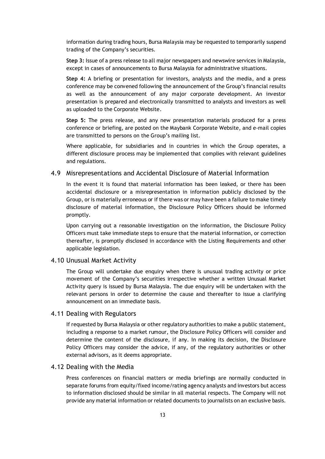information during trading hours, Bursa Malaysia may be requested to temporarily suspend trading of the Company's securities.

**Step 3:** Issue of a press release to all major newspapers and newswire services in Malaysia, except in cases of announcements to Bursa Malaysia for administrative situations.

**Step 4:** A briefing or presentation for investors, analysts and the media, and a press conference may be convened following the announcement of the Group's financial results as well as the announcement of any major corporate development. An investor presentation is prepared and electronically transmitted to analysts and investors as well as uploaded to the Corporate Website.

**Step 5:** The press release, and any new presentation materials produced for a press conference or briefing, are posted on the Maybank Corporate Website, and e-mail copies are transmitted to persons on the Group's mailing list.

Where applicable, for subsidiaries and in countries in which the Group operates, a different disclosure process may be implemented that complies with relevant guidelines and regulations.

#### <span id="page-13-0"></span>4.9 Misrepresentations and Accidental Disclosure of Material Information

In the event it is found that material information has been leaked, or there has been accidental disclosure or a misrepresentation in information publicly disclosed by the Group, or is materially erroneous or if there was or may have been a failure to make timely disclosure of material information, the Disclosure Policy Officers should be informed promptly.

Upon carrying out a reasonable investigation on the information, the Disclosure Policy Officers must take immediate steps to ensure that the material information, or correction thereafter, is promptly disclosed in accordance with the Listing Requirements and other applicable legislation.

#### <span id="page-13-1"></span>4.10 Unusual Market Activity

The Group will undertake due enquiry when there is unusual trading activity or price movement of the Company's securities irrespective whether a written Unusual Market Activity query is issued by Bursa Malaysia. The due enquiry will be undertaken with the relevant persons in order to determine the cause and thereafter to issue a clarifying announcement on an immediate basis.

#### <span id="page-13-2"></span>4.11 Dealing with Regulators

If requested by Bursa Malaysia or other regulatory authorities to make a public statement, including a response to a market rumour, the Disclosure Policy Officers will consider and determine the content of the disclosure, if any. In making its decision, the Disclosure Policy Officers may consider the advice, if any, of the regulatory authorities or other external advisors, as it deems appropriate.

#### <span id="page-13-3"></span>4.12 Dealing with the Media

Press conferences on financial matters or media briefings are normally conducted in separate forums from equity/fixed income/rating agency analysts and investors but access to information disclosed should be similar in all material respects. The Company will not provide any material information or related documents to journalists on an exclusive basis.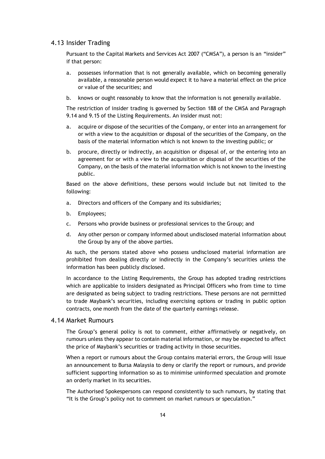#### <span id="page-14-0"></span>4.13 Insider Trading

Pursuant to the Capital Markets and Services Act 2007 ("CMSA"), a person is an "insider" if that person:

- a. possesses information that is not generally available, which on becoming generally available, a reasonable person would expect it to have a material effect on the price or value of the securities; and
- b. knows or ought reasonably to know that the information is not generally available.

The restriction of insider trading is governed by Section 188 of the CMSA and Paragraph 9.14 and 9.15 of the Listing Requirements. An insider must not:

- a. acquire or dispose of the securities of the Company, or enter into an arrangement for or with a view to the acquisition or disposal of the securities of the Company, on the basis of the material information which is not known to the investing public; or
- b. procure, directly or indirectly, an acquisition or disposal of, or the entering into an agreement for or with a view to the acquisition or disposal of the securities of the Company, on the basis of the material information which is not known to the investing public.

Based on the above definitions, these persons would include but not limited to the following:

- a. Directors and officers of the Company and its subsidiaries;
- b. Employees;
- c. Persons who provide business or professional services to the Group; and
- d. Any other person or company informed about undisclosed material information about the Group by any of the above parties.

As such, the persons stated above who possess undisclosed material information are prohibited from dealing directly or indirectly in the Company's securities unless the information has been publicly disclosed.

In accordance to the Listing Requirements, the Group has adopted trading restrictions which are applicable to insiders designated as Principal Officers who from time to time are designated as being subject to trading restrictions. These persons are not permitted to trade Maybank's securities, including exercising options or trading in public option contracts, one month from the date of the quarterly earnings release.

#### <span id="page-14-1"></span>4.14 Market Rumours

The Group's general policy is not to comment, either affirmatively or negatively, on rumours unless they appear to contain material information, or may be expected to affect the price of Maybank's securities or trading activity in those securities.

When a report or rumours about the Group contains material errors, the Group will issue an announcement to Bursa Malaysia to deny or clarify the report or rumours, and provide sufficient supporting information so as to minimise uninformed speculation and promote an orderly market in its securities.

The Authorised Spokespersons can respond consistently to such rumours, by stating that "It is the Group's policy not to comment on market rumours or speculation."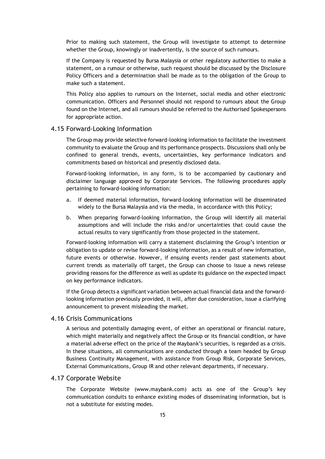Prior to making such statement, the Group will investigate to attempt to determine whether the Group, knowingly or inadvertently, is the source of such rumours.

If the Company is requested by Bursa Malaysia or other regulatory authorities to make a statement, on a rumour or otherwise, such request should be discussed by the Disclosure Policy Officers and a determination shall be made as to the obligation of the Group to make such a statement.

This Policy also applies to rumours on the Internet, social media and other electronic communication. Officers and Personnel should not respond to rumours about the Group found on the Internet, and all rumours should be referred to the Authorised Spokespersons for appropriate action.

#### <span id="page-15-0"></span>4.15 Forward-Looking Information

The Group may provide selective forward-looking information to facilitate the investment community to evaluate the Group and its performance prospects. Discussions shall only be confined to general trends, events, uncertainties, key performance indicators and commitments based on historical and presently disclosed data.

Forward-looking information, in any form, is to be accompanied by cautionary and disclaimer language approved by Corporate Services. The following procedures apply pertaining to forward-looking information:

- a. If deemed material information, forward-looking information will be disseminated widely to the Bursa Malaysia and via the media, in accordance with this Policy;
- b. When preparing forward-looking information, the Group will identify all material assumptions and will include the risks and/or uncertainties that could cause the actual results to vary significantly from those projected in the statement.

Forward-looking information will carry a statement disclaiming the Group's intention or obligation to update or revise forward-looking information, as a result of new information, future events or otherwise. However, if ensuing events render past statements about current trends as materially off target, the Group can choose to issue a news release providing reasons for the difference as well as update its guidance on the expected impact on key performance indicators.

If the Group detects a significant variation between actual financial data and the forwardlooking information previously provided, it will, after due consideration, issue a clarifying announcement to prevent misleading the market.

#### <span id="page-15-1"></span>4.16 Crisis Communications

A serious and potentially damaging event, of either an operational or financial nature, which might materially and negatively affect the Group or its financial condition, or have a material adverse effect on the price of the Maybank's securities, is regarded as a crisis. In these situations, all communications are conducted through a team headed by Group Business Continuity Management, with assistance from Group Risk, Corporate Services, External Communications, Group IR and other relevant departments, if necessary.

#### <span id="page-15-2"></span>4.17 Corporate Website

The Corporate Website (www.maybank.com) acts as one of the Group's key communication conduits to enhance existing modes of disseminating information, but is not a substitute for existing modes.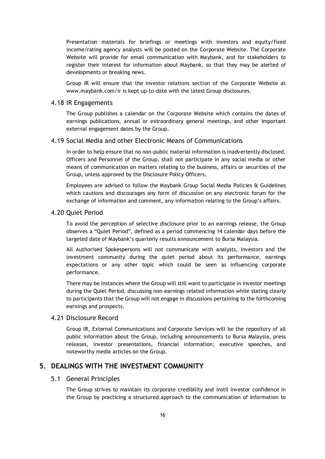Presentation materials for briefings or meetings with investors and equity/fixed income/rating agency analysts will be posted on the Corporate Website. The Corporate Website will provide for email communication with Maybank, and for stakeholders to register their interest for information about Maybank, so that they may be alerted of developments or breaking news.

Group IR will ensure that the investor relations section of the Corporate Website at www.maybank.com/ir is kept up-to-date with the latest Group disclosures.

#### <span id="page-16-0"></span>4.18 IR Engagements

The Group publishes a calendar on the Corporate Website which contains the dates of earnings publications, annual or extraordinary general meetings, and other important external engagement dates by the Group.

#### <span id="page-16-1"></span>4.19 Social Media and other Electronic Means of Communications

In order to help ensure that no non-public material information is inadvertently disclosed, Officers and Personnel of the Group, shall not participate in any social media or other means of communication on matters relating to the business, affairs or securities of the Group, unless approved by the Disclosure Policy Officers.

Employees are advised to follow the Maybank Group Social Media Policies & Guidelines which cautions and discourages any form of discussion on any electronic forum for the exchange of information and comment, any information relating to the Group's affairs.

#### <span id="page-16-2"></span>4.20 Quiet Period

To avoid the perception of selective disclosure prior to an earnings release, the Group observes a "Quiet Period", defined as a period commencing 14 calendar days before the targeted date of Maybank's quarterly results announcement to Bursa Malaysia.

All Authorised Spokespersons will not communicate with analysts, investors and the investment community during the quiet period about its performance, earnings expectations or any other topic which could be seen as influencing corporate performance.

There may be instances where the Group will still want to participate in investor meetings during the Quiet Period, discussing non-earnings related information while stating clearly to participants that the Group will not engage in discussions pertaining to the forthcoming earnings and prospects.

#### <span id="page-16-3"></span>4.21 Disclosure Record

Group IR, External Communications and Corporate Services will be the repository of all public information about the Group, including announcements to Bursa Malaysia, press releases, investor presentations, financial information, executive speeches, and noteworthy media articles on the Group.

#### <span id="page-16-5"></span><span id="page-16-4"></span>**5. DEALINGS WITH THE INVESTMENT COMMUNITY**

#### 5.1 General Principles

The Group strives to maintain its corporate credibility and instil investor confidence in the Group by practicing a structured approach to the communication of information to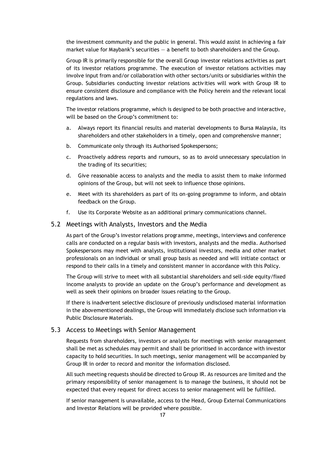the investment community and the public in general. This would assist in achieving a fair market value for Maybank's securities  $-$  a benefit to both shareholders and the Group.

Group IR is primarily responsible for the overall Group investor relations activities as part of its investor relations programme. The execution of investor relations activities may involve input from and/or collaboration with other sectors/units or subsidiaries within the Group. Subsidiaries conducting investor relations activities will work with Group IR to ensure consistent disclosure and compliance with the Policy herein and the relevant local regulations and laws.

The investor relations programme, which is designed to be both proactive and interactive, will be based on the Group's commitment to:

- a. Always report its financial results and material developments to Bursa Malaysia, its shareholders and other stakeholders in a timely, open and comprehensive manner;
- b. Communicate only through its Authorised Spokespersons;
- c. Proactively address reports and rumours, so as to avoid unnecessary speculation in the trading of its securities;
- d. Give reasonable access to analysts and the media to assist them to make informed opinions of the Group, but will not seek to influence those opinions.
- e. Meet with its shareholders as part of its on-going programme to inform, and obtain feedback on the Group.
- f. Use its Corporate Website as an additional primary communications channel.

#### <span id="page-17-0"></span>5.2 Meetings with Analysts, Investors and the Media

As part of the Group's investor relations programme, meetings, interviews and conference calls are conducted on a regular basis with investors, analysts and the media. Authorised Spokespersons may meet with analysts, institutional investors, media and other market professionals on an individual or small group basis as needed and will initiate contact or respond to their calls in a timely and consistent manner in accordance with this Policy.

The Group will strive to meet with all substantial shareholders and sell-side equity/fixed income analysts to provide an update on the Group's performance and development as well as seek their opinions on broader issues relating to the Group.

If there is inadvertent selective disclosure of previously undisclosed material information in the abovementioned dealings, the Group will immediately disclose such information via Public Disclosure Materials.

#### <span id="page-17-1"></span>5.3 Access to Meetings with Senior Management

Requests from shareholders, investors or analysts for meetings with senior management shall be met as schedules may permit and shall be prioritised in accordance with investor capacity to hold securities. In such meetings, senior management will be accompanied by Group IR in order to record and monitor the information disclosed.

All such meeting requests should be directed to Group IR. As resources are limited and the primary responsibility of senior management is to manage the business, it should not be expected that every request for direct access to senior management will be fulfilled.

If senior management is unavailable, access to the Head, Group External Communications and Investor Relations will be provided where possible.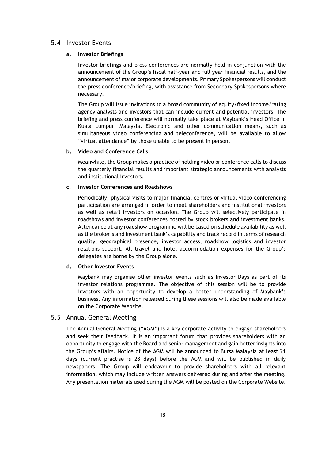#### <span id="page-18-0"></span>5.4 Investor Events

#### **a. Investor Briefings**

Investor briefings and press conferences are normally held in conjunction with the announcement of the Group's fiscal half-year and full year financial results, and the announcement of major corporate developments. Primary Spokespersons will conduct the press conference/briefing, with assistance from Secondary Spokespersons where necessary.

The Group will issue invitations to a broad community of equity/fixed income/rating agency analysts and investors that can include current and potential investors. The briefing and press conference will normally take place at Maybank's Head Office in Kuala Lumpur, Malaysia. Electronic and other communication means, such as simultaneous video conferencing and teleconference, will be available to allow "virtual attendance" by those unable to be present in person.

#### **b. Video and Conference Calls**

Meanwhile, the Group makes a practice of holding video or conference calls to discuss the quarterly financial results and important strategic announcements with analysts and institutional investors.

#### **c. Investor Conferences and Roadshows**

Periodically, physical visits to major financial centres or virtual video conferencing participation are arranged in order to meet shareholders and institutional investors as well as retail investors on occasion. The Group will selectively participate in roadshows and investor conferences hosted by stock brokers and investment banks. Attendance at any roadshow programme will be based on schedule availability as well as the broker's and investment bank's capability and track record in terms of research quality, geographical presence, investor access, roadshow logistics and investor relations support. All travel and hotel accommodation expenses for the Group's delegates are borne by the Group alone.

#### **d. Other Investor Events**

Maybank may organise other investor events such as Investor Days as part of its investor relations programme. The objective of this session will be to provide investors with an opportunity to develop a better understanding of Maybank's business. Any information released during these sessions will also be made available on the Corporate Website.

#### <span id="page-18-1"></span>5.5 Annual General Meeting

The Annual General Meeting ("AGM") is a key corporate activity to engage shareholders and seek their feedback. It is an important forum that provides shareholders with an opportunity to engage with the Board and senior management and gain better insights into the Group's affairs. Notice of the AGM will be announced to Bursa Malaysia at least 21 days (current practise is 28 days) before the AGM and will be published in daily newspapers. The Group will endeavour to provide shareholders with all relevant information, which may include written answers delivered during and after the meeting. Any presentation materials used during the AGM will be posted on the Corporate Website.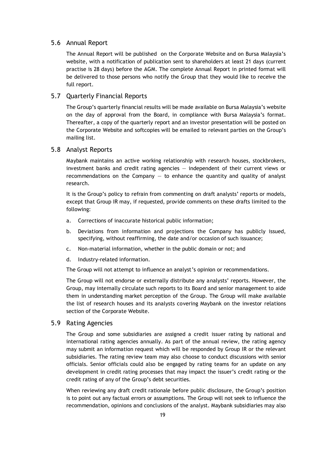#### <span id="page-19-0"></span>5.6 Annual Report

The Annual Report will be published on the Corporate Website and on Bursa Malaysia's website, with a notification of publication sent to shareholders at least 21 days (current practise is 28 days) before the AGM. The complete Annual Report in printed format will be delivered to those persons who notify the Group that they would like to receive the full report.

#### <span id="page-19-1"></span>5.7 Quarterly Financial Reports

The Group's quarterly financial results will be made available on Bursa Malaysia's website on the day of approval from the Board, in compliance with Bursa Malaysia's format. Thereafter, a copy of the quarterly report and an investor presentation will be posted on the Corporate Website and softcopies will be emailed to relevant parties on the Group's mailing list.

#### <span id="page-19-2"></span>5.8 Analyst Reports

Maybank maintains an active working relationship with research houses, stockbrokers, investment banks and credit rating agencies — independent of their current views or recommendations on the Company  $-$  to enhance the quantity and quality of analyst research.

It is the Group's policy to refrain from commenting on draft analysts' reports or models, except that Group IR may, if requested, provide comments on these drafts limited to the following:

- a. Corrections of inaccurate historical public information;
- b. Deviations from information and projections the Company has publicly issued, specifying, without reaffirming, the date and/or occasion of such issuance;
- c. Non-material information, whether in the public domain or not; and
- d. Industry-related information.

The Group will not attempt to influence an analyst's opinion or recommendations.

The Group will not endorse or externally distribute any analysts' reports. However, the Group, may internally circulate such reports to its Board and senior management to aide them in understanding market perception of the Group. The Group will make available the list of research houses and its analysts covering Maybank on the investor relations section of the Corporate Website.

#### <span id="page-19-3"></span>5.9 Rating Agencies

The Group and some subsidiaries are assigned a credit issuer rating by national and international rating agencies annually. As part of the annual review, the rating agency may submit an information request which will be responded by Group IR or the relevant subsidiaries. The rating review team may also choose to conduct discussions with senior officials. Senior officials could also be engaged by rating teams for an update on any development in credit rating processes that may impact the issuer's credit rating or the credit rating of any of the Group's debt securities.

When reviewing any draft credit rationale before public disclosure, the Group's position is to point out any factual errors or assumptions. The Group will not seek to influence the recommendation, opinions and conclusions of the analyst. Maybank subsidiaries may also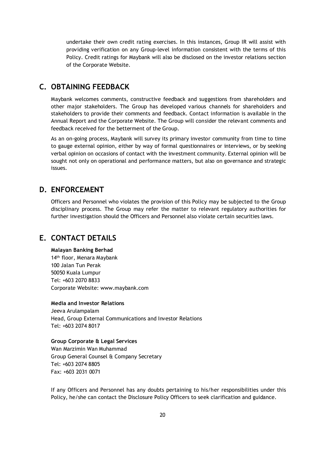undertake their own credit rating exercises. In this instances, Group IR will assist with providing verification on any Group-level information consistent with the terms of this Policy. Credit ratings for Maybank will also be disclosed on the investor relations section of the Corporate Website.

## <span id="page-20-0"></span>**C. OBTAINING FEEDBACK**

Maybank welcomes comments, constructive feedback and suggestions from shareholders and other major stakeholders. The Group has developed various channels for shareholders and stakeholders to provide their comments and feedback. Contact information is available in the Annual Report and the Corporate Website. The Group will consider the relevant comments and feedback received for the betterment of the Group.

As an on-going process, Maybank will survey its primary investor community from time to time to gauge external opinion, either by way of formal questionnaires or interviews, or by seeking verbal opinion on occasions of contact with the investment community. External opinion will be sought not only on operational and performance matters, but also on governance and strategic issues.

## <span id="page-20-1"></span>**D. ENFORCEMENT**

Officers and Personnel who violates the provision of this Policy may be subjected to the Group disciplinary process. The Group may refer the matter to relevant regulatory authorities for further investigation should the Officers and Personnel also violate certain securities laws.

## <span id="page-20-2"></span>**E. CONTACT DETAILS**

#### **Malayan Banking Berhad**

14th floor, Menara Maybank 100 Jalan Tun Perak 50050 Kuala Lumpur Tel: +603 2070 8833 Corporate Website: www.maybank.com

#### **Media and Investor Relations**

Jeeva Arulampalam Head, Group External Communications and Investor Relations Tel: +603 2074 8017

#### **Group Corporate & Legal Services**

Wan Marzimin Wan Muhammad Group General Counsel & Company Secretary Tel: +603 2074 8805 Fax: +603 2031 0071

If any Officers and Personnel has any doubts pertaining to his/her responsibilities under this Policy, he/she can contact the Disclosure Policy Officers to seek clarification and guidance.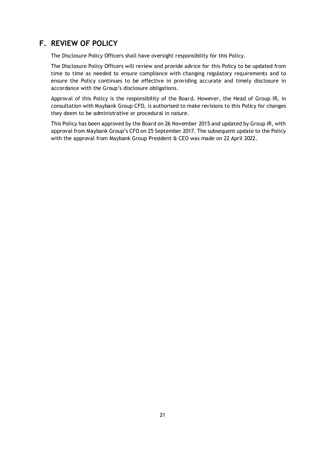## <span id="page-21-0"></span>**F. REVIEW OF POLICY**

The Disclosure Policy Officers shall have oversight responsibility for this Policy.

The Disclosure Policy Officers will review and provide advice for this Policy to be updated from time to time as needed to ensure compliance with changing regulatory requirements and to ensure the Policy continues to be effective in providing accurate and timely disclosure in accordance with the Group's disclosure obligations.

Approval of this Policy is the responsibility of the Board. However, the Head of Group IR, in consultation with Maybank Group CFO, is authorised to make revisions to this Policy for changes they deem to be administrative or procedural in nature.

This Policy has been approved by the Board on 26 November 2015 and updated by Group IR, with approval from Maybank Group's CFO on 25 September 2017. The subsequent update to the Policy with the approval from Maybank Group President & CEO was made on 22 April 2022.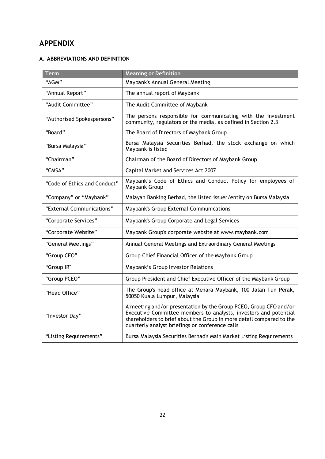## <span id="page-22-0"></span>**APPENDIX**

#### **A. ABBREVIATIONS AND DEFINITION**

| <b>Term</b>                  | <b>Meaning or Definition</b>                                                                                                                                                                                                                                     |
|------------------------------|------------------------------------------------------------------------------------------------------------------------------------------------------------------------------------------------------------------------------------------------------------------|
| "AGM"                        | Maybank's Annual General Meeting                                                                                                                                                                                                                                 |
| "Annual Report"              | The annual report of Maybank                                                                                                                                                                                                                                     |
| "Audit Committee"            | The Audit Committee of Maybank                                                                                                                                                                                                                                   |
| "Authorised Spokespersons"   | The persons responsible for communicating with the investment<br>community, regulators or the media, as defined in Section 2.3                                                                                                                                   |
| "Board"                      | The Board of Directors of Maybank Group                                                                                                                                                                                                                          |
| "Bursa Malaysia"             | Bursa Malaysia Securities Berhad, the stock exchange on which<br>Maybank is listed                                                                                                                                                                               |
| "Chairman"                   | Chairman of the Board of Directors of Maybank Group                                                                                                                                                                                                              |
| "CMSA"                       | Capital Market and Services Act 2007                                                                                                                                                                                                                             |
| "Code of Ethics and Conduct" | Maybank's Code of Ethics and Conduct Policy for employees of<br>Maybank Group                                                                                                                                                                                    |
| "Company" or "Maybank"       | Malayan Banking Berhad, the listed issuer/entity on Bursa Malaysia                                                                                                                                                                                               |
| "External Communications"    | Maybank's Group External Communications                                                                                                                                                                                                                          |
| "Corporate Services"         | Maybank's Group Corporate and Legal Services                                                                                                                                                                                                                     |
| "Corporate Website"          | Maybank Group's corporate website at www.maybank.com                                                                                                                                                                                                             |
| "General Meetings"           | Annual General Meetings and Extraordinary General Meetings                                                                                                                                                                                                       |
| "Group CFO"                  | Group Chief Financial Officer of the Maybank Group                                                                                                                                                                                                               |
| "Group IR"                   | Maybank's Group Investor Relations                                                                                                                                                                                                                               |
| "Group PCEO"                 | Group President and Chief Executive Officer of the Maybank Group                                                                                                                                                                                                 |
| "Head Office"                | The Group's head office at Menara Maybank, 100 Jalan Tun Perak,<br>50050 Kuala Lumpur, Malaysia                                                                                                                                                                  |
| "Investor Day"               | A meeting and/or presentation by the Group PCEO, Group CFO and/or<br>Executive Committee members to analysts, investors and potential<br>shareholders to brief about the Group in more detail compared to the<br>quarterly analyst briefings or conference calls |
| "Listing Requirements"       | Bursa Malaysia Securities Berhad's Main Market Listing Requirements                                                                                                                                                                                              |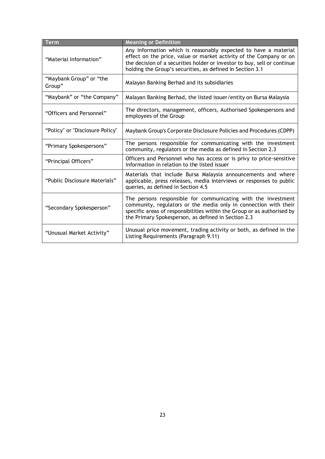| Term                              | <b>Meaning or Definition</b>                                                                                                                                                                                                                                                   |  |
|-----------------------------------|--------------------------------------------------------------------------------------------------------------------------------------------------------------------------------------------------------------------------------------------------------------------------------|--|
| "Material Information"            | Any information which is reasonably expected to have a material<br>effect on the price, value or market activity of the Company or on<br>the decision of a securities holder or investor to buy, sell or continue<br>holding the Group's securities, as defined in Section 3.1 |  |
| "Maybank Group" or "the<br>Group" | Malayan Banking Berhad and its subsidiaries                                                                                                                                                                                                                                    |  |
| "Maybank" or "the Company"        | Malayan Banking Berhad, the listed issuer/entity on Bursa Malaysia                                                                                                                                                                                                             |  |
| "Officers and Personnel"          | The directors, management, officers, Authorised Spokespersons and<br>employees of the Group                                                                                                                                                                                    |  |
| "Policy" or "Disclosure Policy"   | Maybank Group's Corporate Disclosure Policies and Procedures (CDPP)                                                                                                                                                                                                            |  |
| "Primary Spokespersons"           | The persons responsible for communicating with the investment<br>community, regulators or the media as defined in Section 2.3                                                                                                                                                  |  |
| "Principal Officers"              | Officers and Personnel who has access or is privy to price-sensitive<br>information in relation to the listed issuer                                                                                                                                                           |  |
| "Public Disclosure Materials"     | Materials that include Bursa Malaysia announcements and where<br>applicable, press releases, media interviews or responses to public<br>queries, as defined in Section 4.5                                                                                                     |  |
| "Secondary Spokesperson"          | The persons responsible for communicating with the investment<br>community, regulators or the media only in connection with their<br>specific areas of responsibilities within the Group or as authorised by<br>the Primary Spokesperson, as defined in Section 2.3            |  |
| "Unusual Market Activity"         | Unusual price movement, trading activity or both, as defined in the<br>Listing Requirements (Paragraph 9.11)                                                                                                                                                                   |  |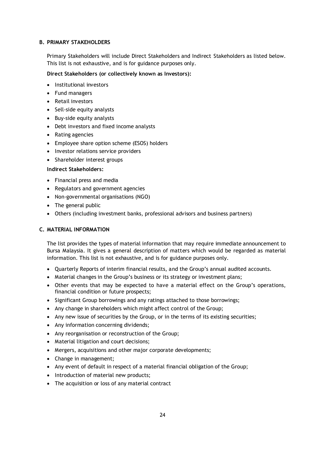#### **B. PRIMARY STAKEHOLDERS**

Primary Stakeholders will include Direct Stakeholders and Indirect Stakeholders as listed below. This list is not exhaustive, and is for guidance purposes only.

#### **Direct Stakeholders (or collectively known as Investors):**

- Institutional investors
- Fund managers
- Retail investors
- Sell-side equity analysts
- Buy-side equity analysts
- Debt investors and fixed income analysts
- Rating agencies
- Employee share option scheme (ESOS) holders
- Investor relations service providers
- Shareholder interest groups

#### **Indirect Stakeholders:**

- Financial press and media
- Regulators and government agencies
- Non-governmental organisations (NGO)
- The general public
- Others (including investment banks, professional advisors and business partners)

#### **C. MATERIAL INFORMATION**

The list provides the types of material information that may require immediate announcement to Bursa Malaysia. It gives a general description of matters which would be regarded as material information. This list is not exhaustive, and is for guidance purposes only.

- Quarterly Reports of interim financial results, and the Group's annual audited accounts.
- Material changes in the Group's business or its strategy or investment plans;
- Other events that may be expected to have a material effect on the Group's operations, financial condition or future prospects;
- Significant Group borrowings and any ratings attached to those borrowings;
- Any change in shareholders which might affect control of the Group;
- Any new issue of securities by the Group, or in the terms of its existing securities;
- Any information concerning dividends;
- Any reorganisation or reconstruction of the Group;
- Material litigation and court decisions;
- Mergers, acquisitions and other major corporate developments;
- Change in management;
- Any event of default in respect of a material financial obligation of the Group;
- Introduction of material new products;
- The acquisition or loss of any material contract